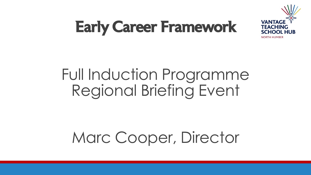

#### Early Career Framework

#### Full Induction Programme Regional Briefing Event

#### Marc Cooper, Director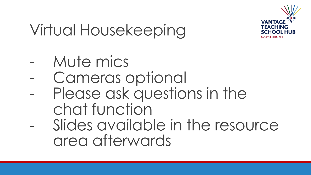

#### Virtual Housekeeping

- Mute mics
- Cameras optional
- Please ask questions in the chat function
- Slides available in the resource area afterwards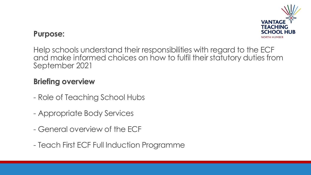

#### **Purpose:**

Help schools understand their responsibilities with regard to the ECF and make informed choices on how to fulfil their statutory duties from September 2021

#### **Briefing overview**

- Role of Teaching School Hubs
- Appropriate Body Services
- General overview of the ECF
- Teach First ECF Full Induction Programme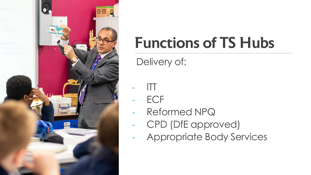



#### Functions of TS Hubs

Delivery of:

- ITT
- ECF
- Reformed NPQ
- CPD (DfE approved)
- Appropriate Body Services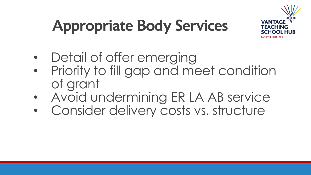# **NORTH HUMBER**

# Appropriate Body Services

- Detail of offer emerging
- Priority to fill gap and meet condition of grant
- Avoid undermining ER LA AB service
- Consider delivery costs vs. structure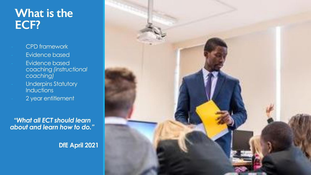#### What is the ECF?

- CPD framework

- Evidence based
- Evidence based coaching *(instructional coaching)*
- Underpins Statutory **Inductions**
- 2 year entitlement

*"What all ECT should learn about and learn how to do."*

**DfE April 2021**

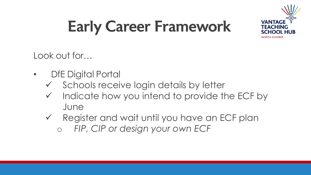

### Early Career Framework

Look out for…

- DfE Digital Portal
	- ✓ Schools receive login details by letter
	- Indicate how you intend to provide the ECF by June
	- ✓ Register and wait until you have an ECF plan o *FIP, CIP or design your own ECF*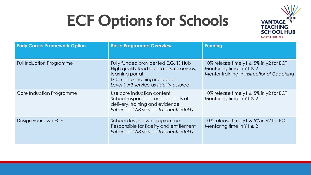#### ECF Options for Schools



| <b>Early Career Framework Option</b> | <b>Basic Programme Overview</b>                                                                                                                                                   | <b>Funding</b>                                                                                                  |
|--------------------------------------|-----------------------------------------------------------------------------------------------------------------------------------------------------------------------------------|-----------------------------------------------------------------------------------------------------------------|
| <b>Full Induction Programme</b>      | Fully funded provider led E.G. TS Hub<br>High quality lead facilitators, resources,<br>learning portal<br>I.C. mentor training included<br>Level 1 AB service as fidelity assured | 10% release time y1 & 5% in y2 for ECT<br>Mentoring time in Y1 & 2<br>Mentor training in Instructional Coaching |
| Core Induction Programme             | Use core induction content<br>School responsible for all aspects of<br>delivery, training and evidence<br>Enhanced AB service to check fidelity                                   | 10% release time y 1 & 5% in y 2 for ECT<br>Mentoring time in Y1 & 2                                            |
| Design your own ECF                  | School design own programme<br>Responsible for fidelity and entitlement<br>Enhanced AB service to check fidelity                                                                  | 10% release time y 1 & 5% in y 2 for ECT<br>Mentoring time in Y1 & 2                                            |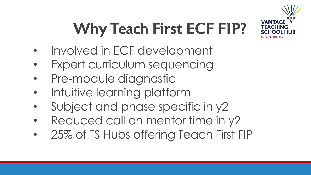

# Why Teach First ECF FIP?

- Involved in ECF development
- Expert curriculum sequencing
- Pre-module diagnostic
- Intuitive learning platform
- Subject and phase specific in y2
- Reduced call on mentor time in y2
- 25% of TS Hubs offering Teach First FIP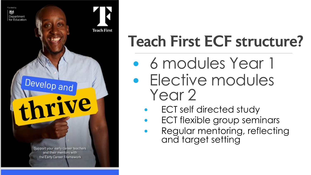

#### Teach First ECF structure?

- 6 modules Year 1 • Elective modules Year 2
	- ECT self directed study
	- ECT flexible group seminars
	- Regular mentoring, reflecting and target setting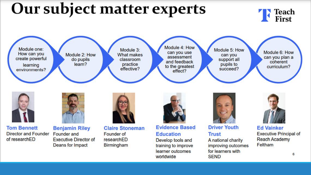#### Our subject matter experts Peach<br>First Module 4: How Module one: Module 3: Module 5: How Module 6: How can you use How can you Module 2: How **What makes** can you assessment can you plan a create powerful do pupils classroom support all and feedback coherent learn? pupils to practice learning curriculum? to the greatest effective? succeed? environments? effect? **Evidence Based Driver Youth Tom Bennett Ed Vainker Claire Stoneman Benjamin Riley Director and Founder** Founder and **Executive Principal of** Founder of **Education Trust** of researchED **Reach Academy Executive Director of** researchED A national charity Develop tools and Feltham Deans for Impact Birmingham training to improve improving outcomes learner outcomes for learners with 6 worldwide **SEND**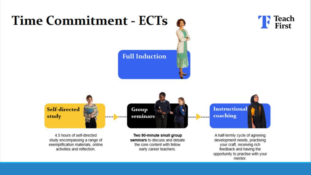

opportunity to practise with your mentor.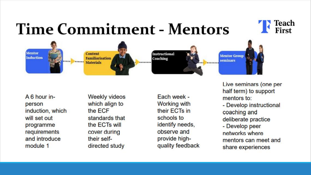#### **Time Commitment - Mentors**



A 6 hour inperson induction, which will set out programme requirements and introduce module 1

**Weekly videos** which align to the ECF standards that the ECTs will cover during their selfdirected study

Each week -**Working with** their ECTs in schools to identify needs, observe and provide highquality feedback Live seminars (one per half term) to support mentors to:

Teach<br>First

- Develop instructional coaching and deliberate practice

- Develop peer networks where mentors can meet and share experiences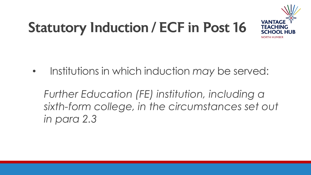#### Statutory Induction / ECF in Post 16



• Institutions in which induction *may* be served:

*Further Education (FE) institution, including a sixth-form college, in the circumstances set out in para 2.3*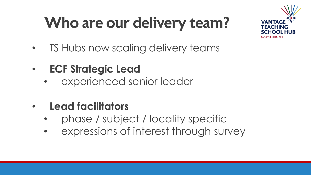## Who are our delivery team?



- TS Hubs now scaling delivery teams
- **ECF Strategic Lead**
	- experienced senior leader
- **Lead facilitators**
	- phase / subject / locality specific
	- expressions of interest through survey